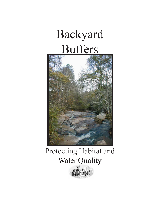# Backyard Buffers



## Protecting Habitat and Water Quality

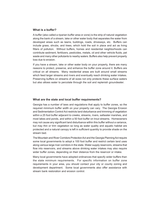#### **What is a buffer?**

A buffer (also called a riparian buffer area or zone) is the strip of natural vegetation along the bank of a stream, lake or other water body that separates the water from developed areas such as lawns, buildings, roads, driveways, etc. Buffers can include grass, shrubs, and trees, which hold the soil in place and act as living filters of pollution. Without buffers, homes and residential neighborhoods can contribute sediment, fertilizers, pesticides, metals, oil and other vehicle fluids, pet waste and many other pollutants to nearby waters. Buffers also help prevent property loss due to erosion.

If you have a stream, lake or other water body on your property, there are many reasons to protect, preserve, and enhance the buffer zone around it. Buffers are critical on all streams. Many residential areas are built around small streams which feed larger streams and rivers and eventually reach drinking water intakes. Preserving buffers on streams of all sizes not only protects these surface waters but also allows water to percolate through the soil and replenish groundwater.

### **What are the state and local buffer requirements?**

Georgia has a number of laws and regulations that apply to buffer zones, so the required minimum buffer width on your property can vary. The Georgia Erosion and Sedimentation Control Act restricts land disturbance and trimming of vegetation within a 25 foot buffer adjacent to creeks, streams, rivers, saltwater marshes, and most lakes and ponds, and within a 50 foot buffer on trout streams. Homeowners may not cause any significant land disturbance within this buffer without a variance, but may thin or trim vegetation so long as water quality and aquatic habitat are protected and a natural canopy is left in sufficient quantity to provide shade on the stream bed.

The Mountain and River Corridors Protection Act and the Georgia Planning Act require some local governments to adopt a 100 foot buffer and restrict certain land uses along various large river corridors in the state. Water supply reservoirs, streams that flow into reservoirs, and streams above drinking water intakes may also require wider buffer zones, depending on their distance from the reservoir or intake.

Many local governments have adopted ordinances that specify wider buffers than the state minimum requirements. For specific information on buffer zone requirements in your area, you should contact your city or county zoning and development department. Some local governments also offer assistance with stream bank restoration and erosion control.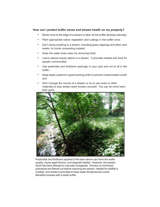### **How can I protect buffer zones and stream health on my property?**

- Never mow to the edge of a stream or lake; let the buffer develop naturally;
- Plant appropriate native vegetation and cuttings in the buffer zone;
- Don't dump anything in a stream, including grass clippings and other yard waste, try home composting instead;
- Keep the water body clean by removing trash;
- Leave natural woody debris in a stream. It provides habitat and food for aquatic communities;
- Use pesticides and fertilizers sparingly in your yard and not at all in the buffer ;
- Keep septic systems in good working order to prevent contaminated runoff; and
- Don't change the course of a stream or try to use rocks or other materials to stop stream bank erosion yourself. You can do more harm than good.



Pesticides and fertilizers applied to the lawn above can harm the water quality, cause algal blooms, and degrade habitat. However, the stream bank has been allowed to naturally revegetate. Erosion is minimized, pollutants are filtered out before reaching the stream, habitat for wildlife is created, and shade is provided to keep water temperatures cooler. Benefits increase with a wider buffer.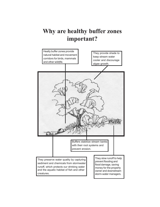### **Why are healthy buffer zones important?**

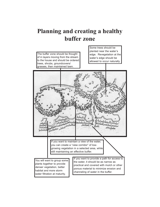### **Planning and creating a healthy buffer zone**

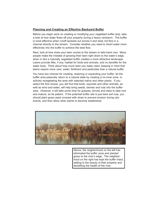### **Planning and Creating an Effective Backyard Buffer**

Before you begin work on creating or modifying your vegetated buffer strip, take a look at how water flows off your property during a heavy rainstorm. The buffer is most effective when runoff spreads out across it and does not flow in a channel directly to the stream. Consider whether you need to divert water more effectively into the buffer to achieve the best flow.

Next, look at how close your lawn comes to the stream or lake bank now. Many people make the mistake of growing their lawn right down to the water's edge, when in fact a naturally vegetated buffer creates a more attractive landscape. Lawns provide little, if any, habitat for birds and animals, and no benefits for the water body. Think about how much lawn you really need, keeping in mind that lawns require more care, water, fertilizers and pesticides than a natural buffer.

You have two choices for creating, restoring or expanding your buffer: let the buffer area passively return to a natural state by creating a no-mow zone, or actively revegetating the area with selected native and other plants. If you select the first choice, you will find that birds, squirrels and other animals, as well as wind and water, will help bring seeds, berries and nuts into the buffer area. However, it will take some time for grasses, shrubs and trees to take root and mature, so be patient. If the potential buffer site is just bare soil now, you should plant grass seed covered with straw to prevent erosion during rain events, and then allow other plants to become established.



Above, the neighborhood on the left has eliminated the buffer zone and planted grass to the river's edge. The neighborhood on the right has kept the buffer intact, adding to the beauty of their property and benefiting the health of the river.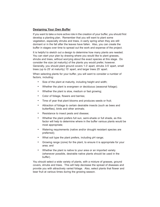### **Designing Your Own Buffer**

If you want to take a more active role in the creation of your buffer, you should first develop a planting plan. Remember that you will want to plant some vegetation, especially shrubs and trees, in early spring when they are still dormant or in the fall after the leaves have fallen. Also, you can create the buffer in stages over time to spread out the work and expense of the project.

It is helpful to sketch out a design to determine how many plants are needed. You can start your plan by drawing where you would like to plant grasses, shrubs and trees, without worrying about the exact species at this stage. Do consider the size (at maturity) of the plants you would prefer, however. Generally, you should plant ground covers 1-3' apart, shrubs 3-5' apart, small trees (up to 25' at maturity) 15' apart, and larger trees 25' apart.

When selecting plants for your buffer, you will want to consider a number of factors, including:

- Size of the plant at maturity, including height and width;
- Whether the plant is evergreen or deciduous (seasonal foliage);
- Whether the plant is slow, medium or fast growing;
- Color of foliage, flowers and berries;
- Time of year that plant blooms and produces seeds or fruit;
- Attraction of foliage to certain desirable insects (such as bees and butterflies), birds and other animals;
- Resistance to insect pests and disease;
- Whether the plant prefers full sun, semi-shade or full shade, as this factor will help to determine where in the buffer various plants would be most appropriate;
- Watering requirements (native and/or drought resistant species are preferred);
- What soil type the plant prefers, including pH range;
- Growing range (zone) for the plant, to ensure it is appropriate for your area; and
- Whether the plant is native to your area or an imported variety (whenever possible, desirable native plants should be used in the buffer).

You should select a wide variety of plants, with a mixture of grasses, ground covers, shrubs and trees. This will help decrease the spread of diseases and provide you with attractively varied foliage. Also, select plants that flower and bear fruit at various times during the growing season.